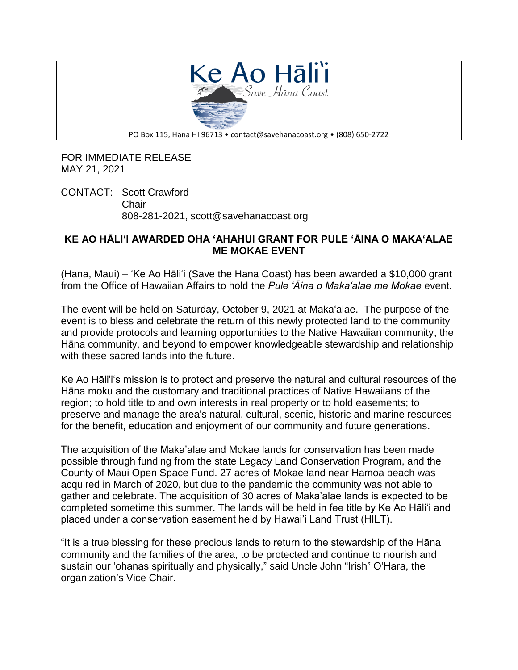

FOR IMMEDIATE RELEASE MAY 21, 2021

CONTACT: Scott Crawford Chair 808-281-2021, scott@savehanacoast.org

## **KE AO HĀLI'I AWARDED OHA 'AHAHUI GRANT FOR PULE 'ĀINA O MAKA'ALAE ME MOKAE EVENT**

(Hana, Maui) – 'Ke Ao Hāli'i (Save the Hana Coast) has been awarded a \$10,000 grant from the Office of Hawaiian Affairs to hold the *Pule 'Āina o Maka'alae me Mokae* event.

The event will be held on Saturday, October 9, 2021 at Makaʻalae. The purpose of the event is to bless and celebrate the return of this newly protected land to the community and provide protocols and learning opportunities to the Native Hawaiian community, the Hāna community, and beyond to empower knowledgeable stewardship and relationship with these sacred lands into the future.

Ke Ao Hāli'iʻs mission is to protect and preserve the natural and cultural resources of the Hāna moku and the customary and traditional practices of Native Hawaiians of the region; to hold title to and own interests in real property or to hold easements; to preserve and manage the area's natural, cultural, scenic, historic and marine resources for the benefit, education and enjoyment of our community and future generations.

The acquisition of the Maka'alae and Mokae lands for conservation has been made possible through funding from the state Legacy Land Conservation Program, and the County of Maui Open Space Fund. 27 acres of Mokae land near Hamoa beach was acquired in March of 2020, but due to the pandemic the community was not able to gather and celebrate. The acquisition of 30 acres of Maka'alae lands is expected to be completed sometime this summer. The lands will be held in fee title by Ke Ao Hāliʻi and placed under a conservation easement held by Hawai'i Land Trust (HILT).

"It is a true blessing for these precious lands to return to the stewardship of the Hāna community and the families of the area, to be protected and continue to nourish and sustain our ʻohanas spiritually and physically," said Uncle John "Irish" OʻHara, the organization's Vice Chair.